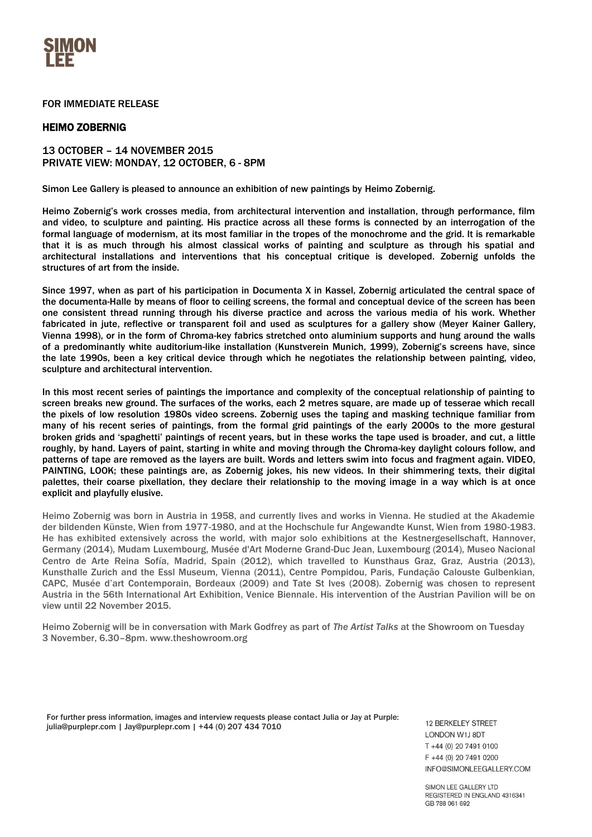

## FOR IMMEDIATE RELEASE

## HEIMO ZOBERNIG

## 13 OCTOBER – 14 NOVEMBER 2015 PRIVATE VIEW: MONDAY, 12 OCTOBER, 6 - 8PM

Simon Lee Gallery is pleased to announce an exhibition of new paintings by Heimo Zobernig.

Heimo Zobernig's work crosses media, from architectural intervention and installation, through performance, film and video, to sculpture and painting. His practice across all these forms is connected by an interrogation of the formal language of modernism, at its most familiar in the tropes of the monochrome and the grid. It is remarkable that it is as much through his almost classical works of painting and sculpture as through his spatial and architectural installations and interventions that his conceptual critique is developed. Zobernig unfolds the structures of art from the inside.

Since 1997, when as part of his participation in Documenta X in Kassel, Zobernig articulated the central space of the documenta-Halle by means of floor to ceiling screens, the formal and conceptual device of the screen has been one consistent thread running through his diverse practice and across the various media of his work. Whether fabricated in jute, reflective or transparent foil and used as sculptures for a gallery show (Meyer Kainer Gallery, Vienna 1998), or in the form of Chroma-key fabrics stretched onto aluminium supports and hung around the walls of a predominantly white auditorium-like installation (Kunstverein Munich, 1999), Zobernig's screens have, since the late 1990s, been a key critical device through which he negotiates the relationship between painting, video, sculpture and architectural intervention.

In this most recent series of paintings the importance and complexity of the conceptual relationship of painting to screen breaks new ground. The surfaces of the works, each 2 metres square, are made up of tesserae which recall the pixels of low resolution 1980s video screens. Zobernig uses the taping and masking technique familiar from many of his recent series of paintings, from the formal grid paintings of the early 2000s to the more gestural broken grids and 'spaghetti' paintings of recent years, but in these works the tape used is broader, and cut, a little roughly, by hand. Layers of paint, starting in white and moving through the Chroma-key daylight colours follow, and patterns of tape are removed as the layers are built. Words and letters swim into focus and fragment again. VIDEO, PAINTING, LOOK; these paintings are, as Zobernig jokes, his new videos. In their shimmering texts, their digital palettes, their coarse pixellation, they declare their relationship to the moving image in a way which is at once explicit and playfully elusive.

Heimo Zobernig was born in Austria in 1958, and currently lives and works in Vienna. He studied at the Akademie der bildenden Künste, Wien from 1977-1980, and at the Hochschule fur Angewandte Kunst, Wien from 1980-1983. He has exhibited extensively across the world, with major solo exhibitions at the Kestnergesellschaft, Hannover, Germany (2014), Mudam Luxembourg, Musée d'Art Moderne Grand-Duc Jean, Luxembourg (2014), Museo Nacional Centro de Arte Reina Sofía, Madrid, Spain (2012), which travelled to Kunsthaus Graz, Graz, Austria (2013), Kunsthalle Zurich and the Essl Museum, Vienna (2011), Centre Pompidou, Paris, Fundação Calouste Gulbenkian, CAPC, Musée d'art Contemporain, Bordeaux (2009) and Tate St Ives (2008). Zobernig was chosen to represent Austria in the 56th International Art Exhibition, Venice Biennale. His intervention of the Austrian Pavilion will be on view until 22 November 2015.

Heimo Zobernig will be in conversation with Mark Godfrey as part of *The Artist Talks* at the Showroom on Tuesday 3 November, 6.30–8pm[. www.theshowroom.org](http://www.theshowroom.org/)

For further press information, images and interview requests please contact Julia or Jay at Purple: julia@purplepr.com | Jay@purplepr.com | +44 (0) 207 434 7010

**12 BERKELEY STREET LONDON W1J 8DT** T +44 (0) 20 7491 0100  $F + 44$  (0) 20 7491 0200 INFO@SIMONLEEGALLERY.COM

SIMON LEE GALLERY LTD REGISTERED IN ENGLAND 4316341 GR 788 061 692